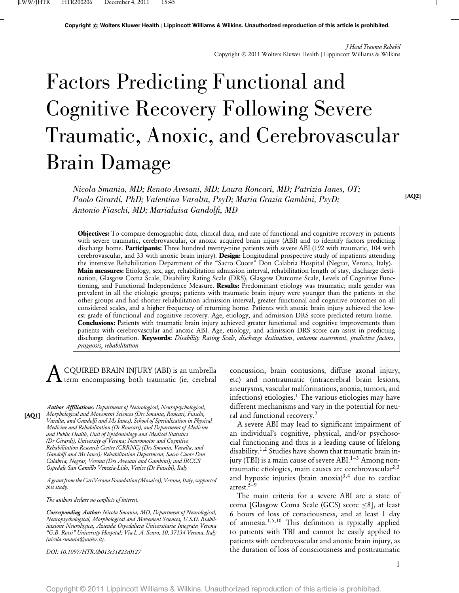*J Head Trauma Rehabil* Copyright © 2011 Wolters Kluwer Health | Lippincott Williams & Wilkins

# Factors Predicting Functional and Cognitive Recovery Following Severe Traumatic, Anoxic, and Cerebrovascular Brain Damage

*Nicola Smania, MD; Renato Avesani, MD; Laura Roncari, MD; Patrizia Ianes, OT; Paolo Girardi, PhD; Valentina Varalta, PsyD; Maria Grazia Gambini, PsyD; Antonio Fiaschi, MD; Marialuisa Gandolfi, MD*

**[AQ2]**

**Objectives:** To compare demographic data, clinical data, and rate of functional and cognitive recovery in patients with severe traumatic, cerebrovascular, or anoxic acquired brain injury (ABI) and to identify factors predicting discharge home. **Participants:** Three hundred twenty-nine patients with severe ABI (192 with traumatic, 104 with cerebrovascular, and 33 with anoxic brain injury). **Design:** Longitudinal prospective study of inpatients attending the intensive Rehabilitation Department of the "Sacro Cuore" Don Calabria Hospital (Negrar, Verona, Italy). **Main measures:** Etiology, sex, age, rehabilitation admission interval, rehabilitation length of stay, discharge destination, Glasgow Coma Scale, Disability Rating Scale (DRS), Glasgow Outcome Scale, Levels of Cognitive Functioning, and Functional Independence Measure. **Results:** Predominant etiology was traumatic; male gender was prevalent in all the etiologic groups; patients with traumatic brain injury were younger than the patients in the other groups and had shorter rehabilitation admission interval, greater functional and cognitive outcomes on all considered scales, and a higher frequency of returning home. Patients with anoxic brain injury achieved the lowest grade of functional and cognitive recovery. Age, etiology, and admission DRS score predicted return home. **Conclusions:** Patients with traumatic brain injury achieved greater functional and cognitive improvements than patients with cerebrovascular and anoxic ABI. Age, etiology, and admission DRS score can assist in predicting discharge destination. **Keywords:** *Disability Rating Scale*, *discharge destination*, *outcome assessment*, *predictive factors*, *prognosis*, *rehabilitation*

A CQUIRED BRAIN INJURY (ABI) is an umbrella term encompassing both traumatic (ie, cerebral

*A grant from the CariVerona Foundation(Mosaico), Verona, Italy, supported this study.*

*The authors declare no conflicts of interest.*

*Corresponding Author: Nicola Smania, MD, Department of Neurological, Neuropsychological, Morphological and Movement Sciences, U.S.O. Riabilitazione Neurologica, Azienda Ospedaliera Universitaria Integrata Verona "G.B. Rossi" University Hospital; Via L.A. Scuro, 10, 37134 Verona, Italy (nicola.smania@univr.it).*

*DOI: 10.1097/HTR.0b013e31823c0127*

concussion, brain contusions, diffuse axonal injury, etc) and nontraumatic (intracerebral brain lesions, aneurysms, vascular malformations, anoxia, tumors, and infections) etiologies.<sup>1</sup> The various etiologies may have different mechanisms and vary in the potential for neu-

A severe ABI may lead to significant impairment of an individual's cognitive, physical, and/or psychosocial functioning and thus is a leading cause of lifelong disability.<sup>1,2</sup> Studies have shown that traumatic brain injury (TBI) is a main cause of severe ABI. $1-3$  Among nontraumatic etiologies, main causes are cerebrovascular<sup>2,3</sup> and hypoxic injuries (brain anoxia) $3,4$  due to cardiac arrest. $5-9$ 

The main criteria for a severe ABI are a state of coma [Glasgow Coma Scale (GCS) score ≤8], at least 6 hours of loss of consciousness, and at least 1 day of amnesia.1,5,10 This definition is typically applied to patients with TBI and cannot be easily applied to patients with cerebrovascular and anoxic brain injury, as the duration of loss of consciousness and posttraumatic

*Author Affiliations: Department of Neurological, Neuropsychological, Morphological and Movement Sciences (Drs Smania, Roncari, Fiaschi,* ral and functional recovery.<sup>2</sup> **[AQ1]** *Varalta, and Gandolfi and Ms Ianes), School of Specialization in Physical Medicine and Rehabilitation (Dr Roncari), and Department of Medicine and Public Health, Unit of Epidemiology and Medical Statistics (Dr Girardi), University of Verona; Neuromotor and Cognitive Rehabilitation Research Centre (CRRNC) (Drs Smania, Varalta, and Gandolfi and Ms Ianes); Rehabilitation Department, Sacro Cuore Don Calabria, Negrar, Verona (Drs Avesani and Gambini); and IRCCS Ospedale San Camillo Venezia-Lido, Venice (Dr Fiaschi), Italy*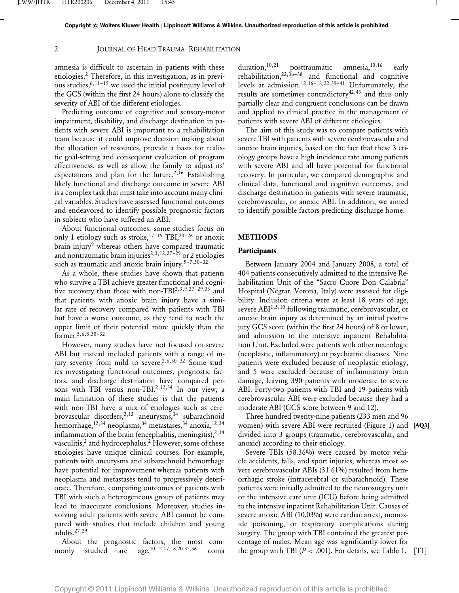#### 2 **JOURNAL OF HEAD TRAUMA REHABILITATION**

amnesia is difficult to ascertain in patients with these etiologies.<sup>2</sup> Therefore, in this investigation, as in previous studies,  $6,11-15$  we used the initial postinjury level of the GCS (within the first 24 hours) alone to classify the severity of ABI of the different etiologies.

Predicting outcome of cognitive and sensory-motor impairment, disability, and discharge destination in patients with severe ABI is important to a rehabilitation team because it could improve decision making about the allocation of resources, provide a basis for realistic goal-setting and consequent evaluation of program effectiveness, as well as allow the family to adjust its' expectations and plan for the future.<sup>2,16</sup> Establishing likely functional and discharge outcome in severe ABI is a complex task that must take into account many clinical variables. Studies have assessed functional outcomes and endeavored to identify possible prognostic factors in subjects who have suffered an ABI.

About functional outcomes, some studies focus on only 1 etiology such as stroke,  $17-19$  TBI,  $20-26$  or anoxic brain injury<sup>9</sup> whereas others have compared traumatic and nontraumatic brain injuries<sup>2,3,12,27-29</sup> or 2 etiologies such as traumatic and anoxic brain injury.<sup>5-7,30-32</sup>

As a whole, these studies have shown that patients who survive a TBI achieve greater functional and cognitive recovery than those with non-TBI<sup>2,3,9,27-29,33</sup> and that patients with anoxic brain injury have a similar rate of recovery compared with patients with TBI but have a worse outcome, as they tend to reach the upper limit of their potential more quickly than the former.5,6,8,30–32

However, many studies have not focused on severe ABI but instead included patients with a range of injury severity from mild to severe.<sup>2,6,30-32</sup> Some studies investigating functional outcomes, prognostic factors, and discharge destination have compared persons with TBI versus non-TBI.<sup>2,12,34</sup> In our view, a main limitation of these studies is that the patients with non-TBI have a mix of etiologies such as cerebrovascular disorders,<sup>2,12</sup> aneurysms,<sup>34</sup> subarachnoid hemorrhage,<sup>12,34</sup> neoplasms,<sup>34</sup> metastases,<sup>34</sup> anoxia,<sup>12,34</sup> inflammation of the brain (encephalitis, meningitis), $2,34$ vasculitis, $<sup>2</sup>$  and hydrocephalus.<sup>2</sup> However, some of these</sup> etiologies have unique clinical courses. For example, patients with aneurysms and subarachnoid hemorrhage have potential for improvement whereas patients with neoplasms and metastases tend to progressively deteriorate. Therefore, comparing outcomes of patients with TBI with such a heterogeneous group of patients may lead to inaccurate conclusions. Moreover, studies involving adult patients with severe ABI cannot be compared with studies that include children and young adults.27,29

About the prognostic factors, the most commonly studied are age,10,12,17,18,20,35,<sup>36</sup> coma

duration,<sup>10,21</sup> posttraumatic amnesia,<sup>10,16</sup> early rehabilitation, $2^{2,36-38}$  and functional and cognitive levels at admission.12,16–18,22,39–41 Unfortunately, the results are sometimes contradictory<sup>42,43</sup> and thus only partially clear and congruent conclusions can be drawn and applied to clinical practice in the management of patients with severe ABI of different etiologies.

The aim of this study was to compare patients with severe TBI with patients with severe cerebrovascular and anoxic brain injuries, based on the fact that these 3 etiology groups have a high incidence rate among patients with severe ABI and all have potential for functional recovery. In particular, we compared demographic and clinical data, functional and cognitive outcomes, and discharge destination in patients with severe traumatic, cerebrovascular, or anoxic ABI. In addition, we aimed to identify possible factors predicting discharge home.

#### **METHODS**

# **Participants**

Between January 2004 and January 2008, a total of 404 patients consecutively admitted to the intensive Rehabilitation Unit of the "Sacro Cuore Don Calabria" Hospital (Negrar, Verona, Italy) were assessed for eligibility. Inclusion criteria were at least 18 years of age, severe ABI<sup>1,5,10</sup> following traumatic, cerebrovascular, or anoxic brain injury as determined by an initial postinjury GCS score (within the first 24 hours) of 8 or lower, and admission to the intensive inpatient Rehabilitation Unit. Excluded were patients with other neurologic (neoplastic, inflammatory) or psychiatric diseases. Nine patients were excluded because of neoplastic etiology, and 5 were excluded because of inflammatory brain damage, leaving 390 patients with moderate to severe ABI. Forty-two patients with TBI and 19 patients with cerebrovascular ABI were excluded because they had a moderate ABI (GCS score between 9 and 12).

Three hundred twenty-nine patients (233 men and 96 women) with severe ABI were recruited (Figure 1) and **[AQ3]** divided into 3 groups (traumatic, cerebrovascular, and anoxic) according to their etiology.

Severe TBIs (58.36%) were caused by motor vehicle accidents, falls, and sport injuries, whereas most severe cerebrovascular ABIs (31.61%) resulted from hemorrhagic stroke (intracerebral or subarachnoid). These patients were initially admitted to the neurosurgery unit or the intensive care unit (ICU) before being admitted to the intensive inpatient Rehabilitation Unit. Causes of severe anoxic ABI (10.03%) were cardiac arrest, monoxide poisoning, or respiratory complications during surgery. The group with TBI contained the greatest percentage of males. Mean age was significantly lower for the group with TBI  $(P < .001)$ . For details, see Table 1. [T1]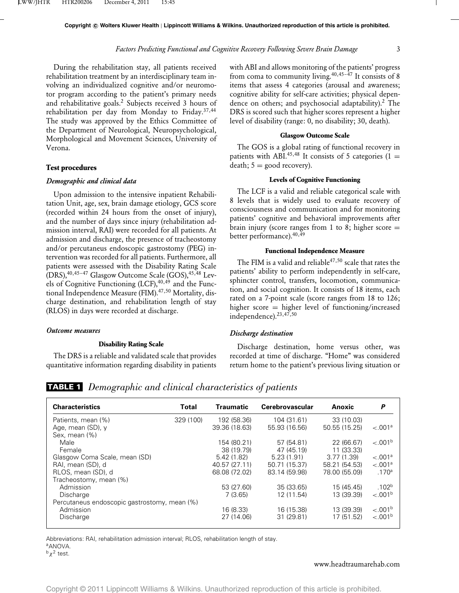# *Factors Predicting Functional and Cognitive Recovery Following Severe Brain Damage* 3

During the rehabilitation stay, all patients received rehabilitation treatment by an interdisciplinary team involving an individualized cognitive and/or neuromotor program according to the patient's primary needs and rehabilitative goals.<sup>2</sup> Subjects received 3 hours of rehabilitation per day from Monday to Friday.37,44 The study was approved by the Ethics Committee of the Department of Neurological, Neuropsychological, Morphological and Movement Sciences, University of Verona.

# **Test procedures**

#### *Demographic and clinical data*

Upon admission to the intensive inpatient Rehabilitation Unit, age, sex, brain damage etiology, GCS score (recorded within 24 hours from the onset of injury), and the number of days since injury (rehabilitation admission interval, RAI) were recorded for all patients. At admission and discharge, the presence of tracheostomy and/or percutaneus endoscopic gastrostomy (PEG) intervention was recorded for all patients. Furthermore, all patients were assessed with the Disability Rating Scale (DRS),40,45–47 Glasgow Outcome Scale (GOS),45,48 Levels of Cognitive Functioning  $(LCF)$ ,  $40,49$  and the Functional Independence Measure (FIM).<sup>47,50</sup> Mortality, discharge destination, and rehabilitation length of stay (RLOS) in days were recorded at discharge.

#### *Outcome measures*

#### **Disability Rating Scale**

The DRS is a reliable and validated scale that provides quantitative information regarding disability in patients with ABI and allows monitoring of the patients' progress from coma to community living.<sup>40,45-47</sup> It consists of 8 items that assess 4 categories (arousal and awareness; cognitive ability for self-care activities; physical dependence on others; and psychosocial adaptability).<sup>2</sup> The DRS is scored such that higher scores represent a higher level of disability (range: 0, no disability; 30, death).

#### **Glasgow Outcome Scale**

The GOS is a global rating of functional recovery in patients with ABI.<sup>45,48</sup> It consists of 5 categories (1 = death;  $5 =$  good recovery).

#### **Levels of Cognitive Functioning**

The LCF is a valid and reliable categorical scale with 8 levels that is widely used to evaluate recovery of consciousness and communication and for monitoring patients' cognitive and behavioral improvements after brain injury (score ranges from 1 to 8; higher score  $=$ better performance). 40,49

#### **Functional Independence Measure**

The FIM is a valid and reliable $47,50$  scale that rates the patients' ability to perform independently in self-care, sphincter control, transfers, locomotion, communication, and social cognition. It consists of 18 items, each rated on a 7-point scale (score ranges from 18 to 126; higher score  $=$  higher level of functioning/increased independence).23,47,50

#### *Discharge destination*

Discharge destination, home versus other, was recorded at time of discharge. "Home" was considered return home to the patient's previous living situation or

**TABLE 1** *Demographic and clinical characteristics of patients*

| <b>Characteristics</b>                       | Total     | Traumatic     | <b>Cerebrovascular</b> | Anoxic        | P                      |
|----------------------------------------------|-----------|---------------|------------------------|---------------|------------------------|
| Patients, mean (%)                           | 329 (100) | 192 (58.36)   | 104 (31.61)            | 33 (10.03)    |                        |
| Age, mean (SD), y                            |           | 39.36 (18.63) | 55.93 (16.56)          | 50.55 (15.25) | $< 0.001$ <sup>a</sup> |
| Sex. mean (%)                                |           |               |                        |               |                        |
| Male                                         |           | 154 (80.21)   | 57 (54.81)             | 22 (66.67)    | < 0.01 <sup>b</sup>    |
| Female                                       |           | 38 (19.79)    | 47 (45.19)             | 11 (33.33)    |                        |
| Glasgow Coma Scale, mean (SD)                |           | 5.42(1.82)    | 5.23(1.91)             | 3.77(1.39)    | < 0.01 <sup>a</sup>    |
| RAI, mean (SD), d                            |           | 40.57 (27.11) | 50.71 (15.37)          | 58.21 (54.53) | $< 0.001$ <sup>a</sup> |
| RLOS, mean (SD), d                           |           | 68.08 (72.02) | 83.14 (59.98)          | 78.00 (55.09) | .170 <sup>a</sup>      |
| Tracheostomy, mean (%)                       |           |               |                        |               |                        |
| Admission                                    |           | 53 (27.60)    | 35 (33.65)             | 15 (45.45)    | .102 <sup>b</sup>      |
| Discharge                                    |           | 7(3.65)       | 12 (11.54)             | 13 (39.39)    | < 0.01 <sup>b</sup>    |
| Percutaneus endoscopic gastrostomy, mean (%) |           |               |                        |               |                        |
| Admission                                    |           | 16 (8.33)     | 16 (15.38)             | 13 (39.39)    | < 0.01 <sup>b</sup>    |
| Discharge                                    |           | 27 (14.06)    | 31 (29.81)             | 17 (51.52)    | $< 0.01^{b}$           |
|                                              |           |               |                        |               |                        |

Abbreviations: RAI, rehabilitation admission interval; RLOS, rehabilitation length of stay. a<sub>ANOVA</sub>

 $^{\rm b}\chi^2$  test.

#### www.headtraumarehab.com

Copyright © 2011 Lippincott Williams & Wilkins. Unauthorized reproduction of this article is prohibited.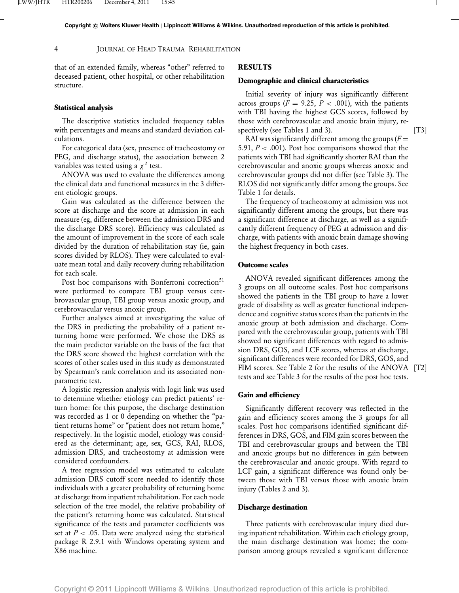#### 4 JOURNAL OF HEAD TRAUMA REHABILITATION

that of an extended family, whereas "other" referred to deceased patient, other hospital, or other rehabilitation structure.

#### **Statistical analysis**

The descriptive statistics included frequency tables with percentages and means and standard deviation calculations.

For categorical data (sex, presence of tracheostomy or PEG, and discharge status), the association between 2 variables was tested using a  $\chi^2$  test.

ANOVA was used to evaluate the differences among the clinical data and functional measures in the 3 different etiologic groups.

Gain was calculated as the difference between the score at discharge and the score at admission in each measure (eg, difference between the admission DRS and the discharge DRS score). Efficiency was calculated as the amount of improvement in the score of each scale divided by the duration of rehabilitation stay (ie, gain scores divided by RLOS). They were calculated to evaluate mean total and daily recovery during rehabilitation for each scale.

Post hoc comparisons with Bonferroni correction<sup>51</sup> were performed to compare TBI group versus cerebrovascular group, TBI group versus anoxic group, and cerebrovascular versus anoxic group.

Further analyses aimed at investigating the value of the DRS in predicting the probability of a patient returning home were performed. We chose the DRS as the main predictor variable on the basis of the fact that the DRS score showed the highest correlation with the scores of other scales used in this study as demonstrated by Spearman's rank correlation and its associated nonparametric test.

A logistic regression analysis with logit link was used to determine whether etiology can predict patients' return home: for this purpose, the discharge destination was recorded as 1 or 0 depending on whether the "patient returns home" or "patient does not return home," respectively. In the logistic model, etiology was considered as the determinant; age, sex, GCS, RAI, RLOS, admission DRS, and tracheostomy at admission were considered confounders.

A tree regression model was estimated to calculate admission DRS cutoff score needed to identify those individuals with a greater probability of returning home at discharge from inpatient rehabilitation. For each node selection of the tree model, the relative probability of the patient's returning home was calculated. Statistical significance of the tests and parameter coefficients was set at  $P < .05$ . Data were analyzed using the statistical package R 2.9.1 with Windows operating system and X86 machine.

# **RESULTS**

#### **Demographic and clinical characteristics**

Initial severity of injury was significantly different across groups ( $F = 9.25$ ,  $P < .001$ ), with the patients with TBI having the highest GCS scores, followed by those with cerebrovascular and anoxic brain injury, respectively (see Tables 1 and 3). [T3]

RAI was significantly different among the groups  $(F =$ 5.91, *P* < .001). Post hoc comparisons showed that the patients with TBI had significantly shorter RAI than the cerebrovascular and anoxic groups whereas anoxic and cerebrovascular groups did not differ (see Table 3). The RLOS did not significantly differ among the groups. See Table 1 for details.

The frequency of tracheostomy at admission was not significantly different among the groups, but there was a significant difference at discharge, as well as a significantly different frequency of PEG at admission and discharge, with patients with anoxic brain damage showing the highest frequency in both cases.

# **Outcome scales**

ANOVA revealed significant differences among the 3 groups on all outcome scales. Post hoc comparisons showed the patients in the TBI group to have a lower grade of disability as well as greater functional independence and cognitive status scores than the patients in the anoxic group at both admission and discharge. Compared with the cerebrovascular group, patients with TBI showed no significant differences with regard to admission DRS, GOS, and LCF scores, whereas at discharge, significant differences were recorded for DRS, GOS, and FIM scores. See Table 2 for the results of the ANOVA [T2] tests and see Table 3 for the results of the post hoc tests.

#### **Gain and efficiency**

Significantly different recovery was reflected in the gain and efficiency scores among the 3 groups for all scales. Post hoc comparisons identified significant differences in DRS, GOS, and FIM gain scores between the TBI and cerebrovascular groups and between the TBI and anoxic groups but no differences in gain between the cerebrovascular and anoxic groups. With regard to LCF gain, a significant difference was found only between those with TBI versus those with anoxic brain injury (Tables 2 and 3).

#### **Discharge destination**

Three patients with cerebrovascular injury died during inpatient rehabilitation. Within each etiology group, the main discharge destination was home; the comparison among groups revealed a significant difference

Copyright © 2011 Lippincott Williams & Wilkins. Unauthorized reproduction of this article is prohibited.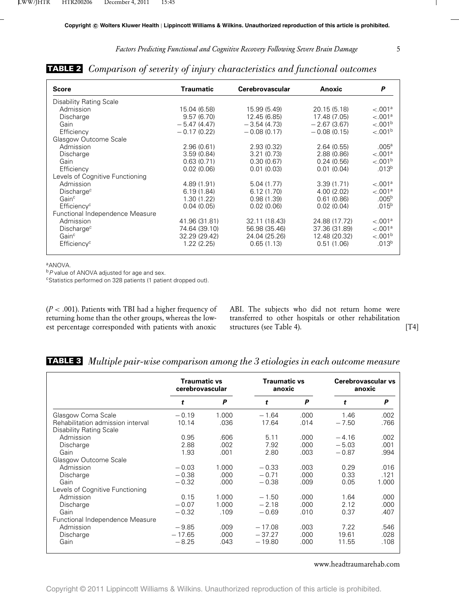# *Factors Predicting Functional and Cognitive Recovery Following Severe Brain Damage* 5

| <b>Score</b>                    | <b>Traumatic</b> | <b>Cerebrovascular</b> | Anoxic        | P                    |
|---------------------------------|------------------|------------------------|---------------|----------------------|
| <b>Disability Rating Scale</b>  |                  |                        |               |                      |
| Admission                       | 15.04 (6.58)     | 15.99 (5.49)           | 20.15 (5.18)  | < 0.01 <sup>a</sup>  |
| Discharge                       | 9.57(6.70)       | 12.45 (6.85)           | 17.48 (7.05)  | < 0.01 <sup>a</sup>  |
| Gain                            | $-5.47(4.47)$    | $-3.54(4.73)$          | $-2.67(3.67)$ | < 0.01 <sup>b</sup>  |
| Efficiency                      | $-0.17(0.22)$    | $-0.08(0.17)$          | $-0.08(0.15)$ | < 0.01 <sup>b</sup>  |
| Glasgow Outcome Scale           |                  |                        |               |                      |
| Admission                       | 2.96(0.61)       | 2.93(0.32)             | 2.64(0.55)    | .005 <sup>a</sup>    |
| Discharge                       | 3.59(0.84)       | 3.21(0.73)             | 2.88(0.86)    | < 0.01 <sup>a</sup>  |
| Gain                            | 0.63(0.71)       | 0.30(0.67)             | 0.24(0.56)    | < 001 <sup>b</sup>   |
| Efficiency                      | 0.02(0.06)       | 0.01(0.03)             | 0.01(0.04)    | .013 <sup>b</sup>    |
| Levels of Cognitive Functioning |                  |                        |               |                      |
| Admission                       | 4.89 (1.91)      | 5.04(1.77)             | 3.39(1.71)    | < 0.01 <sup>a</sup>  |
| Discharge <sup>c</sup>          | 6.19(1.84)       | 6.12(1.70)             | 4.00(2.02)    | < 0.01a              |
| Gain <sup>c</sup>               | 1.30(1.22)       | 0.98(1.39)             | 0.61(0.86)    | .005 <sup>b</sup>    |
| Efficiency <sup>c</sup>         | 0.04(0.05)       | 0.02(0.06)             | 0.02(0.04)    | .015 <sup>b</sup>    |
| Functional Independence Measure |                  |                        |               |                      |
| Admission                       | 41.96 (31.81)    | 32.11 (18.43)          | 24.88 (17.72) | < 0.01 <sup>a</sup>  |
| Discharge <sup>c</sup>          | 74.64 (39.10)    | 56.98 (35.46)          | 37.36 (31.89) | < 0.01 <sup>a</sup>  |
| Gain <sup>c</sup>               | 32.29 (29.42)    | 24.04 (25.26)          | 12.48 (20.32) | < 0.001 <sup>b</sup> |
| Efficiency <sup>c</sup>         | 1.22(2.25)       | 0.65(1.13)             | 0.51(1.06)    | .013 <sup>b</sup>    |
|                                 |                  |                        |               |                      |

# **TABLE 2** *Comparison of severity of injury characteristics and functional outcomes*

a<sub>ANOVA</sub>

 $b$ P value of ANOVA adjusted for age and sex.

<sup>c</sup>Statistics performed on 328 patients (1 patient dropped out).

(*P* < .001). Patients with TBI had a higher frequency of returning home than the other groups, whereas the lowest percentage corresponded with patients with anoxic

ABI. The subjects who did not return home were transferred to other hospitals or other rehabilitation structures (see Table 4).

|                                   | <b>Traumatic vs</b><br>cerebrovascular |       | <b>Traumatic vs</b><br>anoxic |      | Cerebrovascular vs<br>anoxic |       |  |
|-----------------------------------|----------------------------------------|-------|-------------------------------|------|------------------------------|-------|--|
|                                   | t                                      | P     | t                             | P    | t                            | P     |  |
| Glasgow Coma Scale                | $-0.19$                                | 1.000 | $-1.64$                       | .000 | 1.46                         | .002  |  |
| Rehabilitation admission interval | 10.14                                  | .036  | 17.64                         | .014 | $-7.50$                      | .766  |  |
| <b>Disability Rating Scale</b>    |                                        |       |                               |      |                              |       |  |
| Admission                         | 0.95                                   | .606  | 5.11                          | .000 | $-4.16$                      | .002  |  |
| Discharge                         | 2.88                                   | .002  | 7.92                          | .000 | $-5.03$                      | .001  |  |
| Gain                              | 1.93                                   | .001  | 2.80                          | .003 | $-0.87$                      | .994  |  |
| Glasgow Outcome Scale             |                                        |       |                               |      |                              |       |  |
| Admission                         | $-0.03$                                | 1.000 | $-0.33$                       | .003 | 0.29                         | .016  |  |
| Discharge                         | $-0.38$                                | .000  | $-0.71$                       | .000 | 0.33                         | .121  |  |
| Gain                              | $-0.32$                                | .000  | $-0.38$                       | .009 | 0.05                         | 1.000 |  |
| Levels of Cognitive Functioning   |                                        |       |                               |      |                              |       |  |
| Admission                         | 0.15                                   | 1.000 | $-1.50$                       | .000 | 1.64                         | .000  |  |
| Discharge                         | $-0.07$                                | 1.000 | $-2.18$                       | .000 | 2.12                         | .000  |  |
| Gain                              | $-0.32$                                | .109  | $-0.69$                       | .010 | 0.37                         | .407  |  |
| Functional Independence Measure   |                                        |       |                               |      |                              |       |  |
| Admission                         | $-9.85$                                | .009  | $-17.08$                      | .003 | 7.22                         | .546  |  |
| Discharge                         | $-17.65$                               | .000  | $-37.27$                      | .000 | 19.61                        | .028  |  |
| Gain                              | $-8.25$                                | .043  | $-19.80$                      | .000 | 11.55                        | .108  |  |

# **TABLE 3** *Multiple pair-wise comparison among the 3 etiologies in each outcome measure*

# www.headtraumarehab.com

Copyright © 2011 Lippincott Williams & Wilkins. Unauthorized reproduction of this article is prohibited.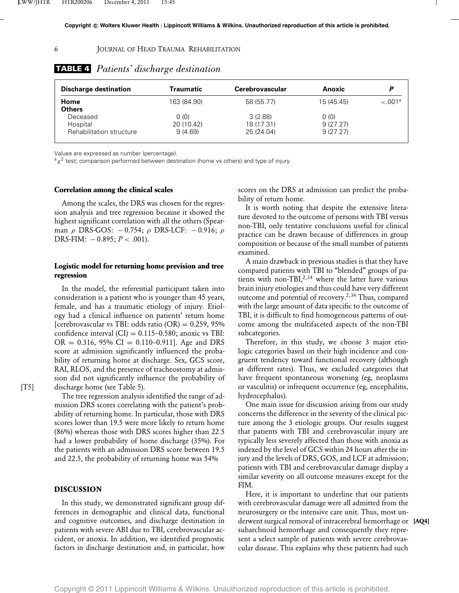# 6 JOURNAL OF HEAD TRAUMA REHABILITATION

# **TABLE 4** *Patients' discharge destination*

| <b>Discharge destination</b> | Traumatic   | <b>Cerebrovascular</b> | Anoxic     |                     |
|------------------------------|-------------|------------------------|------------|---------------------|
| Home<br><b>Others</b>        | 163 (84.90) | 58 (55.77)             | 15 (45.45) | < 0.01 <sup>a</sup> |
| Deceased                     | 0(0)        | 3(2.88)                | 0(0)       |                     |
| Hospital                     | 20 (10.42)  | 18 (17.31)             | 9(27.27)   |                     |
| Rehabilitation structure     | 9(4.69)     | 25 (24.04)             | 9(27.27)   |                     |

Values are expressed as number (percentage).

 $a_{\chi}^2$  test; comparison performed between destination (home vs others) and type of injury.

## **Correlation among the clinical scales**

Among the scales, the DRS was chosen for the regression analysis and tree regression because it showed the highest significant correlation with all the others (Spearman ρ DRS-GOS:  $-0.754$ ; ρ DRS-LCF:  $-0.916$ ; ρ DRS-FIM: − 0.895; *P* < .001).

# **Logistic model for returning home prevision and tree regression**

In the model, the referential participant taken into consideration is a patient who is younger than 45 years, female, and has a traumatic etiology of injury. Etiology had a clinical influence on patients' return home [cerebrovascular vs TBI: odds ratio  $(OR) = 0.259, 95\%$ confidence interval  $(CI) = 0.115-0.580$ ; anoxic vs TBI:  $OR = 0.316$ , 95%  $CI = 0.110-0.911$ . Age and DRS score at admission significantly influenced the probability of returning home at discharge. Sex, GCS score, RAI, RLOS, and the presence of tracheostomy at admission did not significantly influence the probability of [T5] discharge home (see Table 5).

The tree regression analysis identified the range of admission DRS scores correlating with the patient's probability of returning home. In particular, those with DRS scores lower than 19.5 were more likely to return home (86%) whereas those with DRS scores higher than 22.5 had a lower probability of home discharge (35%). For the patients with an admission DRS score between 19.5 and 22.5, the probability of returning home was 54%

# **DISCUSSION**

In this study, we demonstrated significant group differences in demographic and clinical data, functional and cognitive outcomes, and discharge destination in patients with severe ABI due to TBI, cerebrovascular accident, or anoxia. In addition, we identified prognostic factors in discharge destination and, in particular, how scores on the DRS at admission can predict the probability of return home.

It is worth noting that despite the extensive literature devoted to the outcome of persons with TBI versus non-TBI, only tentative conclusions useful for clinical practice can be drawn because of differences in group composition or because of the small number of patients examined.

A main drawback in previous studies is that they have compared patients with TBI to "blended" groups of patients with non-TBI, $2,34$  where the latter have various brain injury etiologies and thus could have very different outcome and potential of recovery.2,34 Thus, compared with the large amount of data specific to the outcome of TBI, it is difficult to find homogeneous patterns of outcome among the multifaceted aspects of the non-TBI subcategories.

Therefore, in this study, we choose 3 major etiologic categories based on their high incidence and congruent tendency toward functional recovery (although at different rates). Thus, we excluded categories that have frequent spontaneous worsening (eg, neoplasms or vasculitis) or infrequent occurrence (eg, encephalitis, hydrocephalus).

One main issue for discussion arising from our study concerns the difference in the severity of the clinical picture among the 3 etiologic groups. Our results suggest that patients with TBI and cerebrovascular injury are typically less severely affected than those with anoxia as indexed by the level of GCS within 24 hours after the injury and the levels of DRS, GOS, and LCF at admission; patients with TBI and cerebrovascular damage display a similar severity on all outcome measures except for the FIM.

Here, it is important to underline that our patients with cerebrovascular damage were all admitted from the neurosurgery or the intensive care unit. Thus, most underwent surgical removal of intracerebral hemorrhage or **[AQ4]** subarchnoid hemorrhage and consequently they represent a select sample of patients with severe cerebrovascular disease. This explains why these patients had such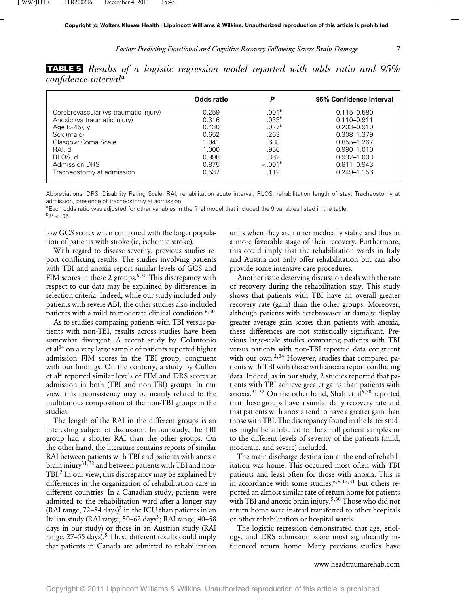# *Factors Predicting Functional and Cognitive Recovery Following Severe Brain Damage* 7

|                                      |  |  | <b>TABLES</b> Results of a logistic regression model reported with odds ratio and 95% |  |  |  |  |
|--------------------------------------|--|--|---------------------------------------------------------------------------------------|--|--|--|--|
| $\emph{confidence interval}^{\rm a}$ |  |  |                                                                                       |  |  |  |  |

|                                       | <b>Odds ratio</b> | P                   | 95% Confidence interval |
|---------------------------------------|-------------------|---------------------|-------------------------|
| Cerebrovascular (vs traumatic injury) | 0.259             | .001 <sup>b</sup>   | $0.115 - 0.580$         |
| Anoxic (vs traumatic injury)          | 0.316             | .033 <sup>b</sup>   | $0.110 - 0.911$         |
| Age $(>45)$ , y                       | 0.430             | .027 <sup>b</sup>   | $0.203 - 0.910$         |
| Sex (male)                            | 0.652             | .263                | 0.308-1.379             |
| Glasgow Coma Scale                    | 1.041             | .688                | 0.855-1.267             |
| RAI, d                                | 1.000             | .956                | $0.990 - 1.010$         |
| RLOS, d                               | 0.998             | .362                | $0.992 - 1.003$         |
| <b>Admission DRS</b>                  | 0.875             | < 0.01 <sup>b</sup> | $0.811 - 0.943$         |
| Tracheostomy at admission             | 0.537             | .112                | $0.249 - 1.156$         |

Abbreviations: DRS, Disability Rating Scale; RAI, rehabilitation acute interval; RLOS, rehabilitation length of stay; Tracheostomy at admission, presence of tracheostomy at admission.

aEach odds ratio was adjusted for other variables in the final model that included the 9 variables listed in the table.  $bP < .05$ .

low GCS scores when compared with the larger population of patients with stroke (ie, ischemic stroke).

With regard to disease severity, previous studies report conflicting results. The studies involving patients with TBI and anoxia report similar levels of GCS and FIM scores in these 2 groups.<sup>6,30</sup> This discrepancy with respect to our data may be explained by differences in selection criteria. Indeed, while our study included only patients with severe ABI, the other studies also included patients with a mild to moderate clinical condition.<sup>6,30</sup>

As to studies comparing patients with TBI versus patients with non-TBI, results across studies have been somewhat divergent. A recent study by Colantonio et al<sup>34</sup> on a very large sample of patients reported higher admission FIM scores in the TBI group, congruent with our findings. On the contrary, a study by Cullen et al<sup>2</sup> reported similar levels of FIM and DRS scores at admission in both (TBI and non-TBI) groups. In our view, this inconsistency may be mainly related to the multifarious composition of the non-TBI groups in the studies.

The length of the RAI in the different groups is an interesting subject of discussion. In our study, the TBI group had a shorter RAI than the other groups. On the other hand, the literature contains reports of similar RAI between patients with TBI and patients with anoxic brain injury<sup>31,32</sup> and between patients with TBI and non-TBI.<sup>2</sup> In our view, this discrepancy may be explained by differences in the organization of rehabilitation care in different countries. In a Canadian study, patients were admitted to the rehabilitation ward after a longer stay (RAI range,  $72-84$  days)<sup>2</sup> in the ICU than patients in an Italian study (RAI range,  $50-62$  days<sup>3</sup>; RAI range,  $40-58$ days in our study) or those in an Austrian study (RAI range,  $27-55$  days).<sup>5</sup> These different results could imply that patients in Canada are admitted to rehabilitation units when they are rather medically stable and thus in a more favorable stage of their recovery. Furthermore, this could imply that the rehabilitation wards in Italy and Austria not only offer rehabilitation but can also provide some intensive care procedures.

Another issue deserving discussion deals with the rate of recovery during the rehabilitation stay. This study shows that patients with TBI have an overall greater recovery rate (gain) than the other groups. Moreover, although patients with cerebrovascular damage display greater average gain scores than patients with anoxia, these differences are not statistically significant. Previous large-scale studies comparing patients with TBI versus patients with non-TBI reported data congruent with our own.<sup>2,34</sup> However, studies that compared patients with TBI with those with anoxia report conflicting data. Indeed, as in our study, 2 studies reported that patients with TBI achieve greater gains than patients with anoxia.<sup>31,32</sup> On the other hand, Shah et al<sup>6,30</sup> reported that these groups have a similar daily recovery rate and that patients with anoxia tend to have a greater gain than those with TBI. The discrepancy found in the latter studies might be attributed to the small patient samples or to the different levels of severity of the patients (mild, moderate, and severe) included.

The main discharge destination at the end of rehabilitation was home. This occurred most often with TBI patients and least often for those with anoxia. This is in accordance with some studies,  $6,9,17,31$  but others reported an almost similar rate of return home for patients with TBI and anoxic brain injury.<sup>5,30</sup> Those who did not return home were instead transferred to other hospitals or other rehabilitation or hospital wards.

The logistic regression demonstrated that age, etiology, and DRS admission score most significantly influenced return home. Many previous studies have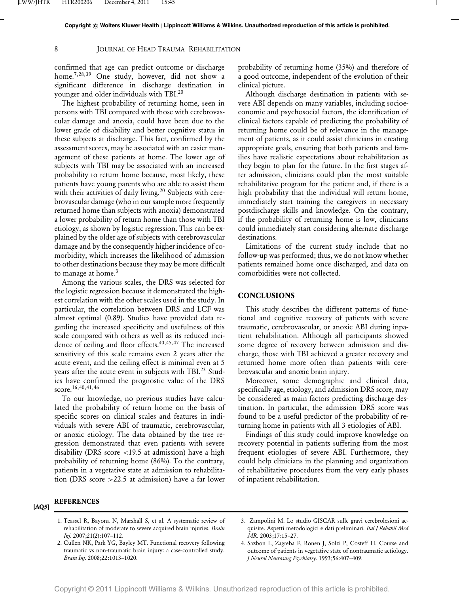#### 8 **JOURNAL OF HEAD TRAUMA REHABILITATION**

confirmed that age can predict outcome or discharge home.7,28,39 One study, however, did not show a significant difference in discharge destination in younger and older individuals with TBI.<sup>20</sup>

The highest probability of returning home, seen in persons with TBI compared with those with cerebrovascular damage and anoxia, could have been due to the lower grade of disability and better cognitive status in these subjects at discharge. This fact, confirmed by the assessment scores, may be associated with an easier management of these patients at home. The lower age of subjects with TBI may be associated with an increased probability to return home because, most likely, these patients have young parents who are able to assist them with their activities of daily living.<sup>20</sup> Subjects with cerebrovascular damage (who in our sample more frequently returned home than subjects with anoxia) demonstrated a lower probability of return home than those with TBI etiology, as shown by logistic regression. This can be explained by the older age of subjects with cerebrovascular damage and by the consequently higher incidence of comorbidity, which increases the likelihood of admission to other destinations because they may be more difficult to manage at home. $3$ 

Among the various scales, the DRS was selected for the logistic regression because it demonstrated the highest correlation with the other scales used in the study. In particular, the correlation between DRS and LCF was almost optimal (0.89). Studies have provided data regarding the increased specificity and usefulness of this scale compared with others as well as its reduced incidence of ceiling and floor effects.<sup>40,45,47</sup> The increased sensitivity of this scale remains even 2 years after the acute event, and the ceiling effect is minimal even at 5 years after the acute event in subjects with TBI.<sup>23</sup> Studies have confirmed the prognostic value of the DRS score.16,40,41,46

To our knowledge, no previous studies have calculated the probability of return home on the basis of specific scores on clinical scales and features in individuals with severe ABI of traumatic, cerebrovascular, or anoxic etiology. The data obtained by the tree regression demonstrated that even patients with severe disability (DRS score <19.5 at admission) have a high probability of returning home (86%). To the contrary, patients in a vegetative state at admission to rehabilitation (DRS score >22.5 at admission) have a far lower

#### **REFERENCES**

**[AQ5]**

- 1. Teassel R, Bayona N, Marshall S, et al. A systematic review of rehabilitation of moderate to severe acquired brain injuries. *Brain Inj*. 2007;21(2):107–112.
- 2. Cullen NK, Park YG, Bayley MT. Functional recovery following traumatic vs non-traumatic brain injury: a case-controlled study. *Brain Inj*. 2008;22:1013–1020.

probability of returning home (35%) and therefore of a good outcome, independent of the evolution of their clinical picture.

Although discharge destination in patients with severe ABI depends on many variables, including socioeconomic and psychosocial factors, the identification of clinical factors capable of predicting the probability of returning home could be of relevance in the management of patients, as it could assist clinicians in creating appropriate goals, ensuring that both patients and families have realistic expectations about rehabilitation as they begin to plan for the future. In the first stages after admission, clinicians could plan the most suitable rehabilitative program for the patient and, if there is a high probability that the individual will return home, immediately start training the caregivers in necessary postdischarge skills and knowledge. On the contrary, if the probability of returning home is low, clinicians could immediately start considering alternate discharge destinations.

Limitations of the current study include that no follow-up was performed; thus, we do not know whether patients remained home once discharged, and data on comorbidities were not collected.

# **CONCLUSIONS**

This study describes the different patterns of functional and cognitive recovery of patients with severe traumatic, cerebrovascular, or anoxic ABI during inpatient rehabilitation. Although all participants showed some degree of recovery between admission and discharge, those with TBI achieved a greater recovery and returned home more often than patients with cerebrovascular and anoxic brain injury.

Moreover, some demographic and clinical data, specifically age, etiology, and admission DRS score, may be considered as main factors predicting discharge destination. In particular, the admission DRS score was found to be a useful predictor of the probability of returning home in patients with all 3 etiologies of ABI.

Findings of this study could improve knowledge on recovery potential in patients suffering from the most frequent etiologies of severe ABI. Furthermore, they could help clinicians in the planning and organization of rehabilitative procedures from the very early phases of inpatient rehabilitation.

3. Zampolini M. Lo studio GISCAR sulle gravi cerebrolesioni acquisite. Aspetti metodologici e dati preliminari. *Ital J Rehabil Med MR*. 2003;17:15–27.

<sup>4.</sup> Sazbon L, Zagreba F, Ronen J, Solzi P, Costeff H. Course and outcome of patients in vegetative state of nontraumatic aetiology. *J Neurol Neurosurg Psychiatry*. 1993;56:407–409.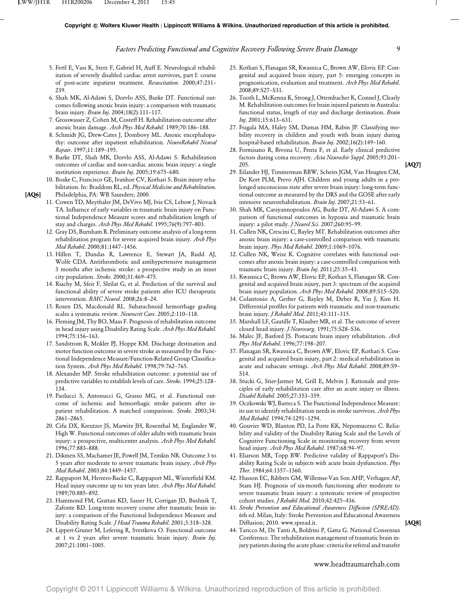# *Factors Predicting Functional and Cognitive Recovery Following Severe Brain Damage* 9

- 5. Fertl E, Vass K, Sterz F, Gabriel H, Auff E. Neurological rehabilitation of severely disabled cardiac arrest survivors, part I: course of post-acute inpatient treatment. *Resuscitation*. 2000;47:231– 239.
- 6. Shah MK, Al-Adawi S, Dorvlo ASS, Burke DT. Functional outcomes following anoxic brain injury: a comparison with traumatic brain injury. *Brain Inj*. 2004;18(2):111–117.
- 7. Grosswasser Z, Cohen M, Costeff H. Rehabilitation outcome after anoxic brain damage. *Arch Phys Med Rehabil*. 1989;70:186–188.
- 8. Schmidt JG, Drew-Cates J, Dombovy ML. Anoxic encephalopathy: outcome after inpatient rehabilitation. *NeuroRehabil Neural Repair*. 1997;11:189–195.
- 9. Burke DT, Shah MK, Dorvlo ASS, Al-Adawi S. Rehabilitation outcomes of cardiac and non-cardiac anoxic brain injury: a single institution experience. *Brain Inj*. 2005;19:675–680.
- 10. Boake C, Francisco GE, Ivanhoe CV, Kothari S. Brain injury rehabilitation. In: Braddom RL, ed. *Physical Medicine and Rehabilitation*. **[AQ6]** Philadelphia, PA: WB Saunders; 2000.
	- 11. Cowen TD, Meythaler JM, DeVivo MJ, Ivie CS, Lebow J, Novack TA. Influence of early variables in traumatic brain injury on Functional Independence Measure scores and rehabilitation length of stay and charges. *Arch Phys Med Rehabil*. 1995;76(9):797–803.
	- 12. Gray DS, Burnham R. Preliminary outcome analysis of a long-term rehabilitation program for severe acquired brain injury. *Arch Phys Med Rehabil*. 2000;81:1447–1456.
	- 13. Hillen T, Dundas R, Lawrence E, Stewart JA, Rudd AJ, Wolfe CDA. Antithrombotic and antihypertensive management 3 months after ischemic stroke: a prospective study in an inner city population. *Stroke*. 2000;31:469–475.
	- 14. Riachy M, Sfeir F, Sleilat G, et al. Prediction of the survival and functional ability of severe stroke patients after ICU therapeutic intervention. *BMC Neurol*. 2008;26:8–24.
	- 15. Rosen DS, Macdonald RL. Subarachnoid hemorrhage grading scales a systematic review. *Neurocrit Care*. 2005;2:110–118.
	- 16. Fleming JM, Thy BO, Maas F. Prognosis of rehabilitation outcome in head injury using Disability Rating Scale. *Arch Phys Med Rehabil*. 1994;75:156–163.
	- 17. Sandstrom R, Mokler PJ, Hoppe KM. Discharge destination and motor function outcome in severe stroke as measured by the Functional Independence Measure/Function-Related Group Classification System. *Arch Phys Med Rehabil*. 1998;79:762–765.
	- 18. Alexander MP. Stroke rehabilitation outcome: a potential use of predictive variables to establish levels of care. *Stroke*. 1994;25:128– 134.
	- 19. Paolucci S, Antonucci G, Grasso MG, et al. Functional outcome of ischemic and hemorrhagic stroke patients after inpatient rehabilitation. A matched comparison. *Stroke*. 2003;34: 2861–2865.
	- 20. Cifu DX, Kreutzer JS, Marwitz JH, Rosenthal M, Englander W, High W. Functional outcomes of older adults with traumatic brain injury: a prospective, multicenter analysis. *Arch Phys Med Rehabil*. 1996;77:883–888.
	- 21. Dikmen SS, Machamer JE, Powell JM, Temkin NR. Outcome 3 to 5 years after moderate to severe traumatic brain injury. *Arch Phys Med Rehabil*. 2003;84:1449–1457.
	- 22. Rappaport M, Herrero-Backe C, Rappaport ML, Winterfield KM. Head injury outcome up to ten years later. *Arch Phys Med Rehabil*. 1989;70:885–892.
	- 23. Hammond FM, Grattan KD, Sasser H, Corrigan JD, Bushnik T, Zafonte RD. Long-term recovery course after traumatic brain injury: a comparison of the Functional Independence Measure and Disability Rating Scale. *J Head Trauma Rehabil*. 2001;3:318–328.
	- 24. Lippert-Gruner M, Lefering R, Svestkova O. Functional outcome at 1 vs 2 years after severe traumatic brain injury. *Brain Inj*. 2007;21:1001–1005.
- 25. Kothari S, Flanagan SR, Kwasnica C, Brown AW, Elovic EP. Congenital and acquired brain injury, part 5: emerging concepts in prognostication, evaluation and treatment. *Arch Phys Med Rehabil*. 2008;89:S27–S31.
- 26. Tooth L, McKenna K, Strong J, Ottembacher K, Connel J, Clearly M. Rehabilitation outcomes for brain injured patients in Australia: functional status, length of stay and discharge destination. *Brain Inj*. 2001;15:613–631.
- 27. Fragala MA, Haley SM, Dumas HM, Rabin JP. Classifying mobility recovery in children and youth with brain injury during hospital-based rehabilitation. *Brain Inj*. 2002;16(2):149–160.
- 28. Formisano R, Bivona U, Penta F, et al. Early clinical predictive factors during coma recovery. *Acta Neurochir Suppl*. 2005;93:201– 205. **[AQ7]**
- 29. Eilander HJ, Timmerman RBW, Scheirs JGM, Van Heugten CM, De Kort PLM, Prevo AJH. Children and young adults in a prolonged unconscious state after severe brain injury: long-term functional outcome as measured by the DRS and the GOSE after early intensive neurorehabilitation. *Brain Inj*. 2007;21:53–61.
- 30. Shah MK, Carayannopoulos AG, Burke DT, Al-Adawi S. A comparison of functional outcomes in hypoxia and traumatic brain injury: a pilot study. *J Neurol Sci*. 2007;260:95–99.
- 31. Cullen NK, Crescini C, Bayley MT. Rehabilitation outcomes after anoxic brain injury: a case-controlled comparison with traumatic brain injury. *Phys Med Rehabil*. 2009;1:1069–1076.
- 32. Cullen NK, Weisz K. Cognitive correlates with functional outcomes after anoxic brain injury: a case-controlled comparison with traumatic brain injury. *Brain Inj*. 2011;25:35–43.
- 33. Kwasnica C, Brown AW, Elovic EP, Kothari S, Flanagan SR. Congenital and acquired brain injury, part 3: spectrum of the acquired brain injury population. *Arch Phys Med Rehabil*. 2008;89:S15–S20.
- 34. Colantonio A, Gerber G, Bayley M, Deber R, Yin J, Kim H. Differential profiles for patients with traumatic and non-traumatic brain injury. *J Rehabil Med*. 2011;43:311–315.
- 35. Marshall LF, Gautille T, Klauber MR, et al. The outcome of severe closed head injury. *J Neurosurg*. 1991;75:S28–S36.
- 36. Malec JF, Basford JS. Postacute brain injury rehabilitation. *Arch Phys Med Rehabil*. 1996;77:198–207.
- 37. Flanagan SR, Kwasnica C, Brown AW, Elovic EP, Kothari S. Congenital and acquired brain injury, part 2: medical rehabilitation in acute and subacute settings. *Arch Phys Med Rehabil*. 2008;89:S9– S14.
- 38. Stucki G, Stier-Jarmer M, Grill E, Melvin J. Rationale and principles of early rehabilitation care after an acute injury or illness. *Disabil Rehabil*. 2005;27:353–359.
- 39. Oczkowski WJ, Barreca S. The Functional Independence Measure: its use to identify rehabilitation needs in stroke survivors. *Arch Phys Med Rehabil*. 1994;74:1291–1294.
- 40. Gouvier WD, Blanton PD, La Porte KK, Nepomuceno C. Reliability and validity of the Disability Rating Scale and the Levels of Cognitive Functioning Scale in monitoring recovery from severe head injury. *Arch Phys Med Rehabil*. 1987;68:94–97.
- 41. Eliarson MR, Topp BW. Predictive validity of Rappaport's Disability Rating Scale in subjects with acute brain dysfunction. *Phys Ther*. 1984;64:1357–1360.
- 42. Husson EC, Ribbers GM, Willemse-Van Son AHP, Verhagen AP, Stam HJ. Prognosis of six-month functioning after moderate to severe traumatic brain injury: a systematic review of prospective cohort studies. *J Rehabil Med*. 2010;42:425–436.
- 43. *Stroke Prevention and Educational Awareness Diffusion (SPREAD)*. 6th ed. Milan, Italy: Stroke Prevention and Educational Awareness Diffusion; 2010. www.spread.it. **[AQ8]**
- 44. Taricco M, De Tanti A, Boldrini P, Gatta G. National Consensus Conference. The rehabilitation management of traumatic brain injury patients during the acute phase: criteria for referral and transfer

www.headtraumarehab.com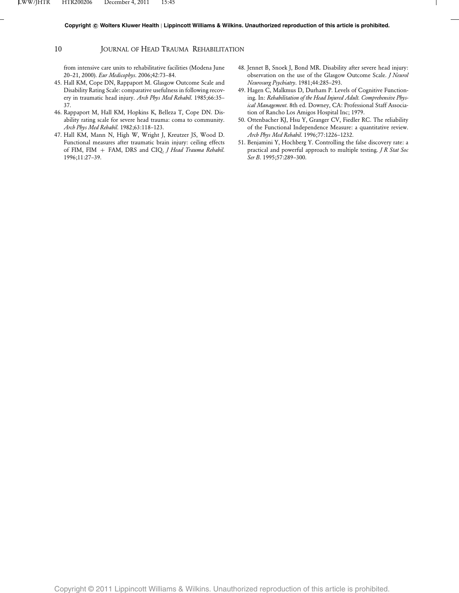# 10 **JOURNAL OF HEAD TRAUMA REHABILITATION**

from intensive care units to rehabilitative facilities (Modena June 20–21, 2000). *Eur Medicophys*. 2006;42:73–84.

- 45. Hall KM, Cope DN, Rappaport M. Glasgow Outcome Scale and Disability Rating Scale: comparative usefulness in following recovery in traumatic head injury. *Arch Phys Med Rehabil*. 1985;66:35– 37.
- 46. Rappaport M, Hall KM, Hopkins K, Belleza T, Cope DN. Disability rating scale for severe head trauma: coma to community. *Arch Phys Med Rehabil*. 1982;63:118–123.
- 47. Hall KM, Mann N, High W, Wright J, Kreutzer JS, Wood D. Functional measures after traumatic brain injury: ceiling effects of FIM, FIM + FAM, DRS and CIQ. *J Head Trauma Rehabil*. 1996;11:27–39.
- 48. Jennet B, Snoek J, Bond MR. Disability after severe head injury: observation on the use of the Glasgow Outcome Scale. *J Neurol Neurosurg Psychiatry*. 1981;44:285–293.
- 49. Hagen C, Malkmus D, Durham P. Levels of Cognitive Functioning. In: *Rehabilitation of the Head Injured Adult. Comprehensive Physical Management*. 8th ed. Downey, CA: Professional Staff Association of Rancho Los Amigos Hospital Inc; 1979.
- 50. Ottenbacher KJ, Hsu Y, Granger CV, Fiedler RC. The reliability of the Functional Independence Measure: a quantitative review. *Arch Phys Med Rehabil*. 1996;77:1226–1232.
- 51. Benjamini Y, Hochberg Y. Controlling the false discovery rate: a practical and powerful approach to multiple testing. *J R Stat Soc Ser B*. 1995;57:289–300.